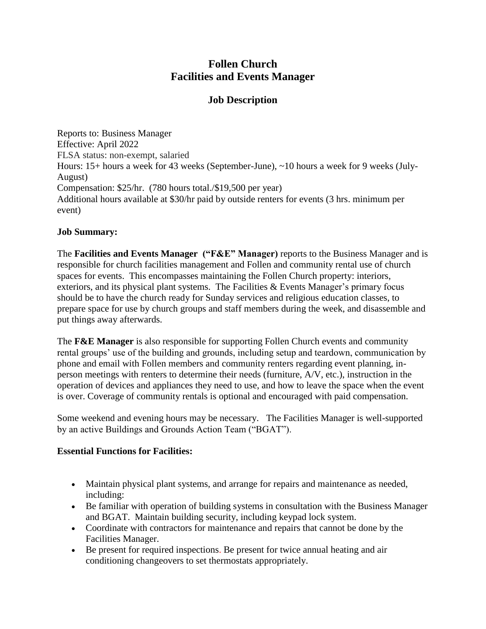# **Follen Church Facilities and Events Manager**

# **Job Description**

Reports to: Business Manager Effective: April 2022 FLSA status: non-exempt, salaried Hours: 15+ hours a week for 43 weeks (September-June), ~10 hours a week for 9 weeks (July-August) Compensation: \$25/hr. (780 hours total./\$19,500 per year) Additional hours available at \$30/hr paid by outside renters for events (3 hrs. minimum per event)

#### **Job Summary:**

The **Facilities and Events Manager ("F&E" Manager)** reports to the Business Manager and is responsible for church facilities management and Follen and community rental use of church spaces for events. This encompasses maintaining the Follen Church property: interiors, exteriors, and its physical plant systems. The Facilities & Events Manager's primary focus should be to have the church ready for Sunday services and religious education classes, to prepare space for use by church groups and staff members during the week, and disassemble and put things away afterwards.

The **F&E Manager** is also responsible for supporting Follen Church events and community rental groups' use of the building and grounds, including setup and teardown, communication by phone and email with Follen members and community renters regarding event planning, inperson meetings with renters to determine their needs (furniture, A/V, etc.), instruction in the operation of devices and appliances they need to use, and how to leave the space when the event is over. Coverage of community rentals is optional and encouraged with paid compensation.

Some weekend and evening hours may be necessary. The Facilities Manager is well-supported by an active Buildings and Grounds Action Team ("BGAT").

## **Essential Functions for Facilities:**

- Maintain physical plant systems, and arrange for repairs and maintenance as needed, including:
- Be familiar with operation of building systems in consultation with the Business Manager and BGAT. Maintain building security, including keypad lock system.
- Coordinate with contractors for maintenance and repairs that cannot be done by the Facilities Manager.
- Be present for required inspections. Be present for twice annual heating and air conditioning changeovers to set thermostats appropriately.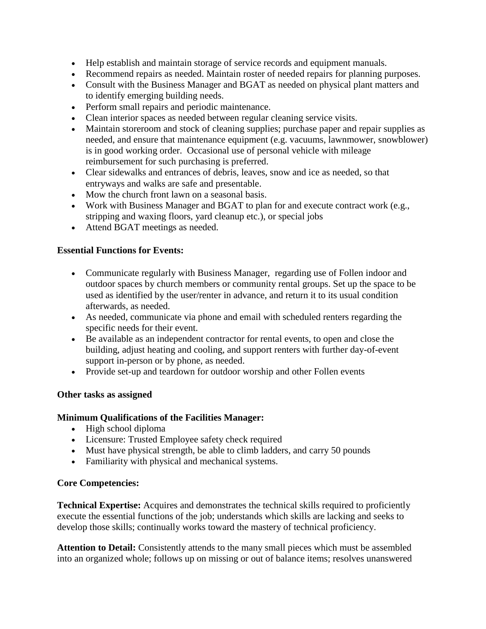- Help establish and maintain storage of service records and equipment manuals.
- Recommend repairs as needed. Maintain roster of needed repairs for planning purposes.
- Consult with the Business Manager and BGAT as needed on physical plant matters and to identify emerging building needs.
- Perform small repairs and periodic maintenance.
- Clean interior spaces as needed between regular cleaning service visits.
- Maintain storeroom and stock of cleaning supplies; purchase paper and repair supplies as needed, and ensure that maintenance equipment (e.g. vacuums, lawnmower, snowblower) is in good working order. Occasional use of personal vehicle with mileage reimbursement for such purchasing is preferred.
- Clear sidewalks and entrances of debris, leaves, snow and ice as needed, so that entryways and walks are safe and presentable.
- Mow the church front lawn on a seasonal basis.
- Work with Business Manager and BGAT to plan for and execute contract work (e.g., stripping and waxing floors, yard cleanup etc.), or special jobs
- Attend BGAT meetings as needed.

#### **Essential Functions for Events:**

- Communicate regularly with Business Manager, regarding use of Follen indoor and outdoor spaces by church members or community rental groups. Set up the space to be used as identified by the user/renter in advance, and return it to its usual condition afterwards, as needed.
- As needed, communicate via phone and email with scheduled renters regarding the specific needs for their event.
- Be available as an independent contractor for rental events, to open and close the building, adjust heating and cooling, and support renters with further day-of-event support in-person or by phone, as needed.
- Provide set-up and teardown for outdoor worship and other Follen events

#### **Other tasks as assigned**

#### **Minimum Qualifications of the Facilities Manager:**

- High school diploma
- Licensure: Trusted Employee safety check required
- Must have physical strength, be able to climb ladders, and carry 50 pounds
- Familiarity with physical and mechanical systems.

## **Core Competencies:**

**Technical Expertise:** Acquires and demonstrates the technical skills required to proficiently execute the essential functions of the job; understands which skills are lacking and seeks to develop those skills; continually works toward the mastery of technical proficiency.

**Attention to Detail:** Consistently attends to the many small pieces which must be assembled into an organized whole; follows up on missing or out of balance items; resolves unanswered